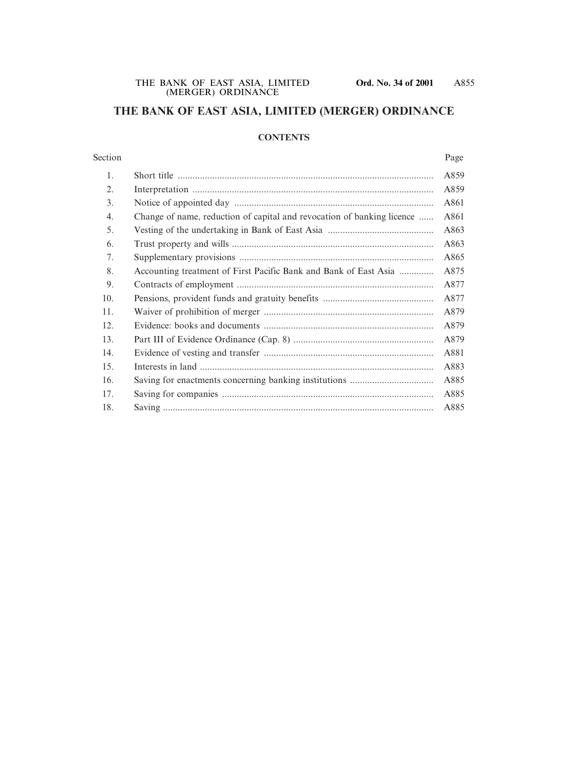# **THE BANK OF EAST ASIA, LIMITED (MERGER) ORDINANCE**

### **CONTENTS**

#### Section Page

| 1.  |                                                                        | A859 |
|-----|------------------------------------------------------------------------|------|
| 2.  |                                                                        | A859 |
| 3.  |                                                                        | A861 |
| 4.  | Change of name, reduction of capital and revocation of banking licence | A861 |
| 5.  |                                                                        | A863 |
| 6.  |                                                                        | A863 |
| 7.  |                                                                        | A865 |
| 8.  | Accounting treatment of First Pacific Bank and Bank of East Asia       | A875 |
| 9.  |                                                                        | A877 |
| 10. |                                                                        | A877 |
| 11. |                                                                        | A879 |
| 12. |                                                                        | A879 |
| 13. |                                                                        | A879 |
| 14. |                                                                        | A881 |
| 15. |                                                                        | A883 |
| 16. |                                                                        | A885 |
| 17. |                                                                        | A885 |
| 18. |                                                                        | A885 |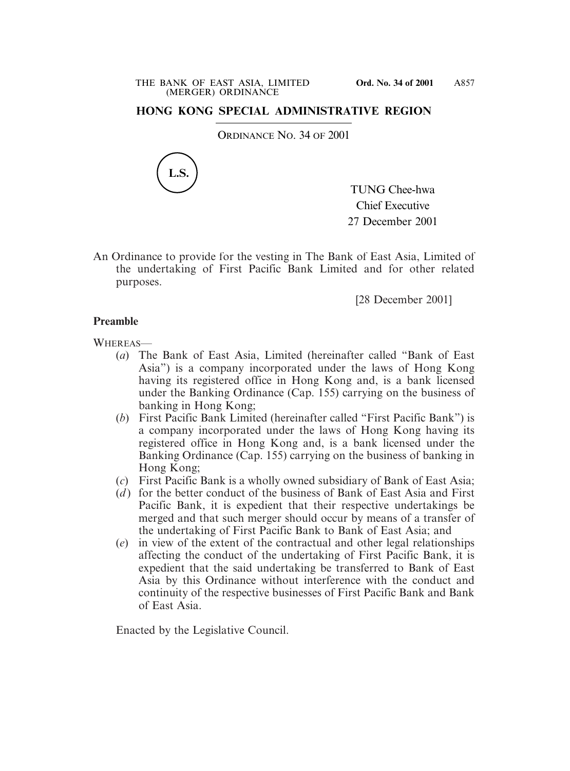## **HONG KONG SPECIAL ADMINISTRATIVE REGION**

ORDINANCE NO. 34 OF 2001



TUNG Chee-hwa Chief Executive 27 December 2001

An Ordinance to provide for the vesting in The Bank of East Asia, Limited of the undertaking of First Pacific Bank Limited and for other related purposes.

[28 December 2001]

### **Preamble**

WHEREAS-

- (*a*) The Bank of East Asia, Limited (hereinafter called "Bank of East Asia") is a company incorporated under the laws of Hong Kong having its registered office in Hong Kong and, is a bank licensed under the Banking Ordinance (Cap. 155) carrying on the business of banking in Hong Kong;
- (*b*) First Pacific Bank Limited (hereinafter called "First Pacific Bank") is a company incorporated under the laws of Hong Kong having its registered office in Hong Kong and, is a bank licensed under the Banking Ordinance (Cap. 155) carrying on the business of banking in Hong Kong;
- (*c*) First Pacific Bank is a wholly owned subsidiary of Bank of East Asia;
- (*d*) for the better conduct of the business of Bank of East Asia and First Pacific Bank, it is expedient that their respective undertakings be merged and that such merger should occur by means of a transfer of the undertaking of First Pacific Bank to Bank of East Asia; and
- (*e*) in view of the extent of the contractual and other legal relationships affecting the conduct of the undertaking of First Pacific Bank, it is expedient that the said undertaking be transferred to Bank of East Asia by this Ordinance without interference with the conduct and continuity of the respective businesses of First Pacific Bank and Bank of East Asia.

Enacted by the Legislative Council.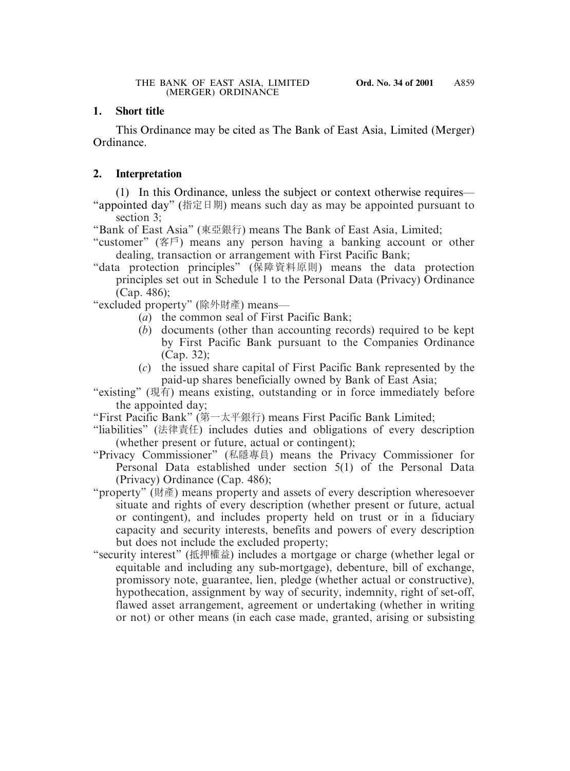# **1. Short title**

This Ordinance may be cited as The Bank of East Asia, Limited (Merger) Ordinance.

# **2. Interpretation**

(1) In this Ordinance, unless the subject or context otherwise requires— "appointed day" (指定日期) means such day as may be appointed pursuant to section 3;

"Bank of East Asia" (東亞銀行) means The Bank of East Asia, Limited;

- "customer" (客戶) means any person having a banking account or other dealing, transaction or arrangement with First Pacific Bank;
- "data protection principles" (保障資料原則) means the data protection principles set out in Schedule 1 to the Personal Data (Privacy) Ordinance (Cap. 486);

"excluded property" (除外財產) means—

- (*a*) the common seal of First Pacific Bank;
- (*b*) documents (other than accounting records) required to be kept by First Pacific Bank pursuant to the Companies Ordinance (Cap. 32);
- (*c*) the issued share capital of First Pacific Bank represented by the paid-up shares beneficially owned by Bank of East Asia;

"existing" (現有) means existing, outstanding or in force immediately before the appointed day;

"First Pacific Bank" (第一太平銀行) means First Pacific Bank Limited;

- "liabilities" (法律責任) includes duties and obligations of every description (whether present or future, actual or contingent);
- "Privacy Commissioner" (私隱專員) means the Privacy Commissioner for Personal Data established under section 5(1) of the Personal Data (Privacy) Ordinance (Cap. 486);
- "property" (財產) means property and assets of every description wheresoever situate and rights of every description (whether present or future, actual or contingent), and includes property held on trust or in a fiduciary capacity and security interests, benefits and powers of every description but does not include the excluded property;
- "security interest" (抵押權益) includes a mortgage or charge (whether legal or equitable and including any sub-mortgage), debenture, bill of exchange, promissory note, guarantee, lien, pledge (whether actual or constructive), hypothecation, assignment by way of security, indemnity, right of set-off, flawed asset arrangement, agreement or undertaking (whether in writing or not) or other means (in each case made, granted, arising or subsisting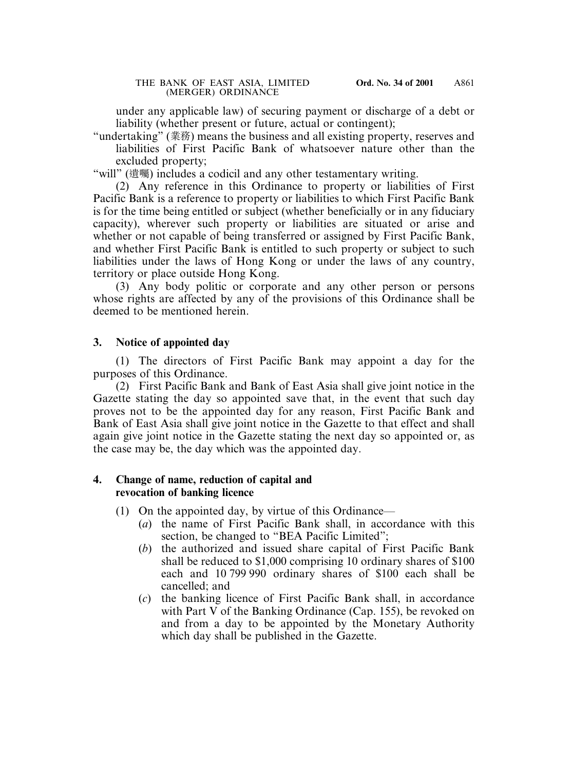under any applicable law) of securing payment or discharge of a debt or liability (whether present or future, actual or contingent);

"undertaking" (業務) means the business and all existing property, reserves and liabilities of First Pacific Bank of whatsoever nature other than the excluded property;

"will" (遺囑) includes a codicil and any other testamentary writing.

(2) Any reference in this Ordinance to property or liabilities of First Pacific Bank is a reference to property or liabilities to which First Pacific Bank is for the time being entitled or subject (whether beneficially or in any fiduciary capacity), wherever such property or liabilities are situated or arise and whether or not capable of being transferred or assigned by First Pacific Bank, and whether First Pacific Bank is entitled to such property or subject to such liabilities under the laws of Hong Kong or under the laws of any country, territory or place outside Hong Kong.

(3) Any body politic or corporate and any other person or persons whose rights are affected by any of the provisions of this Ordinance shall be deemed to be mentioned herein.

### **3. Notice of appointed day**

(1) The directors of First Pacific Bank may appoint a day for the purposes of this Ordinance.

(2) First Pacific Bank and Bank of East Asia shall give joint notice in the Gazette stating the day so appointed save that, in the event that such day proves not to be the appointed day for any reason, First Pacific Bank and Bank of East Asia shall give joint notice in the Gazette to that effect and shall again give joint notice in the Gazette stating the next day so appointed or, as the case may be, the day which was the appointed day.

### **4. Change of name, reduction of capital and revocation of banking licence**

- (1) On the appointed day, by virtue of this Ordinance—
	- (*a*) the name of First Pacific Bank shall, in accordance with this section, be changed to "BEA Pacific Limited";
	- (*b*) the authorized and issued share capital of First Pacific Bank shall be reduced to \$1,000 comprising 10 ordinary shares of \$100 each and 10 799 990 ordinary shares of \$100 each shall be cancelled; and
	- (*c*) the banking licence of First Pacific Bank shall, in accordance with Part V of the Banking Ordinance (Cap. 155), be revoked on and from a day to be appointed by the Monetary Authority which day shall be published in the Gazette.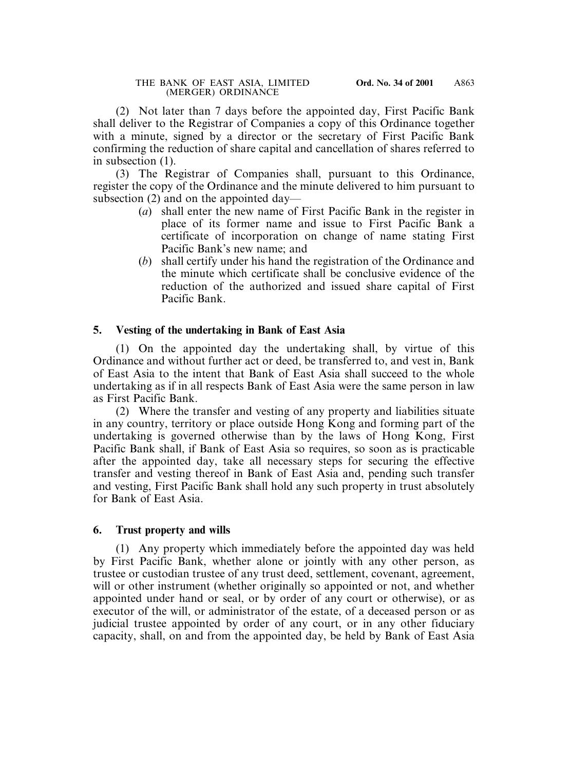(2) Not later than 7 days before the appointed day, First Pacific Bank shall deliver to the Registrar of Companies a copy of this Ordinance together with a minute, signed by a director or the secretary of First Pacific Bank confirming the reduction of share capital and cancellation of shares referred to in subsection (1).

(3) The Registrar of Companies shall, pursuant to this Ordinance, register the copy of the Ordinance and the minute delivered to him pursuant to subsection (2) and on the appointed day—

- (*a*) shall enter the new name of First Pacific Bank in the register in place of its former name and issue to First Pacific Bank a certificate of incorporation on change of name stating First Pacific Bank's new name; and
- (*b*) shall certify under his hand the registration of the Ordinance and the minute which certificate shall be conclusive evidence of the reduction of the authorized and issued share capital of First Pacific Bank.

## **5. Vesting of the undertaking in Bank of East Asia**

(1) On the appointed day the undertaking shall, by virtue of this Ordinance and without further act or deed, be transferred to, and vest in, Bank of East Asia to the intent that Bank of East Asia shall succeed to the whole undertaking as if in all respects Bank of East Asia were the same person in law as First Pacific Bank.

(2) Where the transfer and vesting of any property and liabilities situate in any country, territory or place outside Hong Kong and forming part of the undertaking is governed otherwise than by the laws of Hong Kong, First Pacific Bank shall, if Bank of East Asia so requires, so soon as is practicable after the appointed day, take all necessary steps for securing the effective transfer and vesting thereof in Bank of East Asia and, pending such transfer and vesting, First Pacific Bank shall hold any such property in trust absolutely for Bank of East Asia.

### **6. Trust property and wills**

(1) Any property which immediately before the appointed day was held by First Pacific Bank, whether alone or jointly with any other person, as trustee or custodian trustee of any trust deed, settlement, covenant, agreement, will or other instrument (whether originally so appointed or not, and whether appointed under hand or seal, or by order of any court or otherwise), or as executor of the will, or administrator of the estate, of a deceased person or as judicial trustee appointed by order of any court, or in any other fiduciary capacity, shall, on and from the appointed day, be held by Bank of East Asia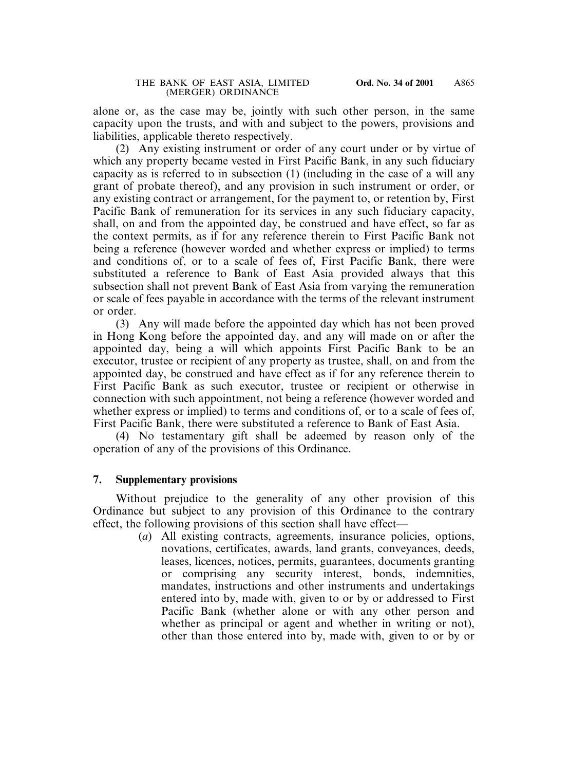alone or, as the case may be, jointly with such other person, in the same capacity upon the trusts, and with and subject to the powers, provisions and liabilities, applicable thereto respectively.

(2) Any existing instrument or order of any court under or by virtue of which any property became vested in First Pacific Bank, in any such fiduciary capacity as is referred to in subsection (1) (including in the case of a will any grant of probate thereof), and any provision in such instrument or order, or any existing contract or arrangement, for the payment to, or retention by, First Pacific Bank of remuneration for its services in any such fiduciary capacity, shall, on and from the appointed day, be construed and have effect, so far as the context permits, as if for any reference therein to First Pacific Bank not being a reference (however worded and whether express or implied) to terms and conditions of, or to a scale of fees of, First Pacific Bank, there were substituted a reference to Bank of East Asia provided always that this subsection shall not prevent Bank of East Asia from varying the remuneration or scale of fees payable in accordance with the terms of the relevant instrument or order.

(3) Any will made before the appointed day which has not been proved in Hong Kong before the appointed day, and any will made on or after the appointed day, being a will which appoints First Pacific Bank to be an executor, trustee or recipient of any property as trustee, shall, on and from the appointed day, be construed and have effect as if for any reference therein to First Pacific Bank as such executor, trustee or recipient or otherwise in connection with such appointment, not being a reference (however worded and whether express or implied) to terms and conditions of, or to a scale of fees of, First Pacific Bank, there were substituted a reference to Bank of East Asia.

(4) No testamentary gift shall be adeemed by reason only of the operation of any of the provisions of this Ordinance.

### **7. Supplementary provisions**

Without prejudice to the generality of any other provision of this Ordinance but subject to any provision of this Ordinance to the contrary effect, the following provisions of this section shall have effect—

> (*a*) All existing contracts, agreements, insurance policies, options, novations, certificates, awards, land grants, conveyances, deeds, leases, licences, notices, permits, guarantees, documents granting or comprising any security interest, bonds, indemnities, mandates, instructions and other instruments and undertakings entered into by, made with, given to or by or addressed to First Pacific Bank (whether alone or with any other person and whether as principal or agent and whether in writing or not), other than those entered into by, made with, given to or by or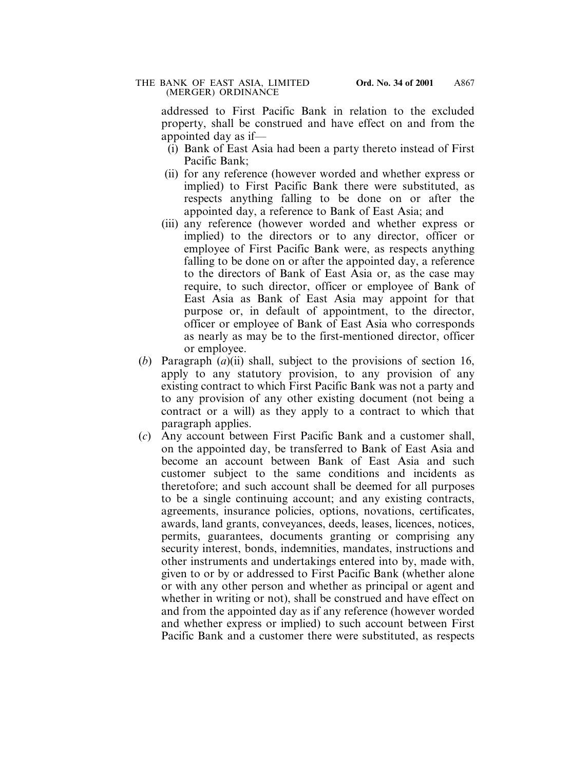#### THE BANK OF EAST ASIA, LIMITED **Ord. No. 34 of 2001** (MERGER) ORDINANCE

addressed to First Pacific Bank in relation to the excluded property, shall be construed and have effect on and from the appointed day as if—

- (i) Bank of East Asia had been a party thereto instead of First Pacific Bank;
- (ii) for any reference (however worded and whether express or implied) to First Pacific Bank there were substituted, as respects anything falling to be done on or after the appointed day, a reference to Bank of East Asia; and
- (iii) any reference (however worded and whether express or implied) to the directors or to any director, officer or employee of First Pacific Bank were, as respects anything falling to be done on or after the appointed day, a reference to the directors of Bank of East Asia or, as the case may require, to such director, officer or employee of Bank of East Asia as Bank of East Asia may appoint for that purpose or, in default of appointment, to the director, officer or employee of Bank of East Asia who corresponds as nearly as may be to the first-mentioned director, officer or employee.
- (*b*) Paragraph (*a*)(ii) shall, subject to the provisions of section 16, apply to any statutory provision, to any provision of any existing contract to which First Pacific Bank was not a party and to any provision of any other existing document (not being a contract or a will) as they apply to a contract to which that paragraph applies.
- (*c*) Any account between First Pacific Bank and a customer shall, on the appointed day, be transferred to Bank of East Asia and become an account between Bank of East Asia and such customer subject to the same conditions and incidents as theretofore; and such account shall be deemed for all purposes to be a single continuing account; and any existing contracts, agreements, insurance policies, options, novations, certificates, awards, land grants, conveyances, deeds, leases, licences, notices, permits, guarantees, documents granting or comprising any security interest, bonds, indemnities, mandates, instructions and other instruments and undertakings entered into by, made with, given to or by or addressed to First Pacific Bank (whether alone or with any other person and whether as principal or agent and whether in writing or not), shall be construed and have effect on and from the appointed day as if any reference (however worded and whether express or implied) to such account between First Pacific Bank and a customer there were substituted, as respects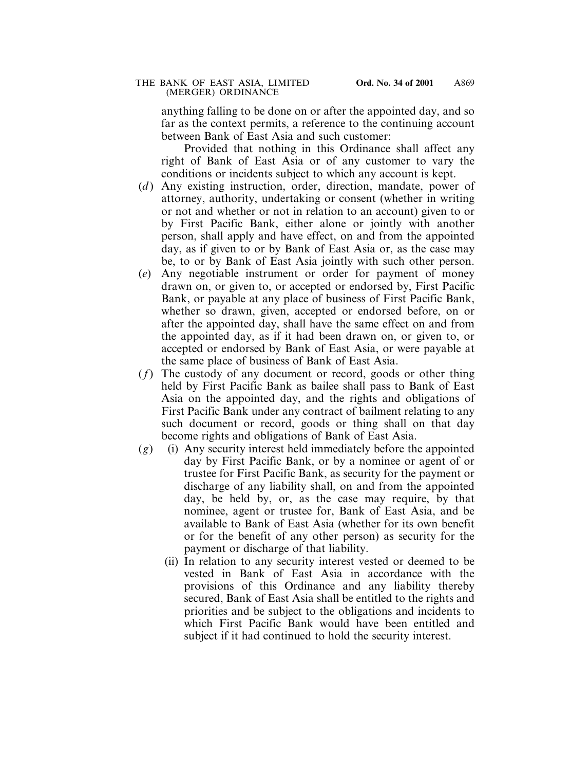anything falling to be done on or after the appointed day, and so far as the context permits, a reference to the continuing account between Bank of East Asia and such customer:

Provided that nothing in this Ordinance shall affect any right of Bank of East Asia or of any customer to vary the conditions or incidents subject to which any account is kept.

- (*d*) Any existing instruction, order, direction, mandate, power of attorney, authority, undertaking or consent (whether in writing or not and whether or not in relation to an account) given to or by First Pacific Bank, either alone or jointly with another person, shall apply and have effect, on and from the appointed day, as if given to or by Bank of East Asia or, as the case may be, to or by Bank of East Asia jointly with such other person.
- (*e*) Any negotiable instrument or order for payment of money drawn on, or given to, or accepted or endorsed by, First Pacific Bank, or payable at any place of business of First Pacific Bank, whether so drawn, given, accepted or endorsed before, on or after the appointed day, shall have the same effect on and from the appointed day, as if it had been drawn on, or given to, or accepted or endorsed by Bank of East Asia, or were payable at the same place of business of Bank of East Asia.
- (*f*) The custody of any document or record, goods or other thing held by First Pacific Bank as bailee shall pass to Bank of East Asia on the appointed day, and the rights and obligations of First Pacific Bank under any contract of bailment relating to any such document or record, goods or thing shall on that day become rights and obligations of Bank of East Asia.
- (*g*) (i) Any security interest held immediately before the appointed day by First Pacific Bank, or by a nominee or agent of or trustee for First Pacific Bank, as security for the payment or discharge of any liability shall, on and from the appointed day, be held by, or, as the case may require, by that nominee, agent or trustee for, Bank of East Asia, and be available to Bank of East Asia (whether for its own benefit or for the benefit of any other person) as security for the payment or discharge of that liability.
	- (ii) In relation to any security interest vested or deemed to be vested in Bank of East Asia in accordance with the provisions of this Ordinance and any liability thereby secured, Bank of East Asia shall be entitled to the rights and priorities and be subject to the obligations and incidents to which First Pacific Bank would have been entitled and subject if it had continued to hold the security interest.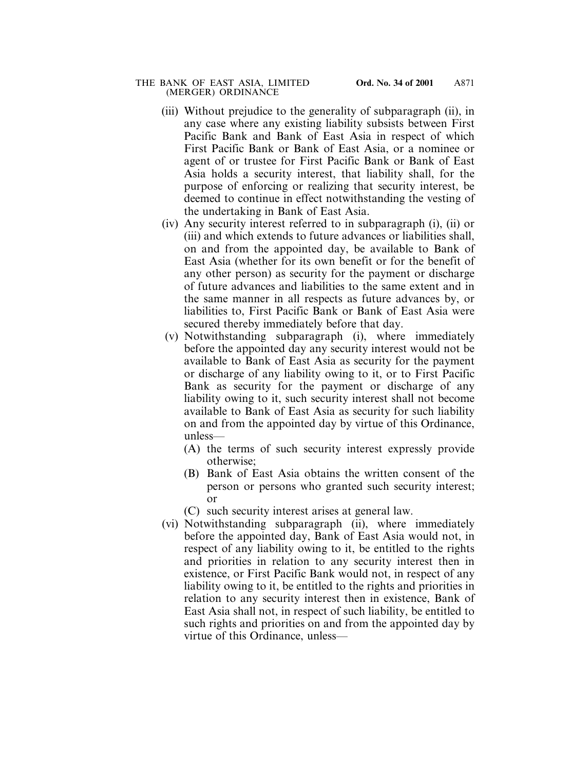#### THE BANK OF EAST ASIA, LIMITED **Ord. No. 34 of 2001** (MERGER) ORDINANCE

- (iii) Without prejudice to the generality of subparagraph (ii), in any case where any existing liability subsists between First Pacific Bank and Bank of East Asia in respect of which First Pacific Bank or Bank of East Asia, or a nominee or agent of or trustee for First Pacific Bank or Bank of East Asia holds a security interest, that liability shall, for the purpose of enforcing or realizing that security interest, be deemed to continue in effect notwithstanding the vesting of the undertaking in Bank of East Asia.
- (iv) Any security interest referred to in subparagraph (i), (ii) or (iii) and which extends to future advances or liabilities shall, on and from the appointed day, be available to Bank of East Asia (whether for its own benefit or for the benefit of any other person) as security for the payment or discharge of future advances and liabilities to the same extent and in the same manner in all respects as future advances by, or liabilities to, First Pacific Bank or Bank of East Asia were secured thereby immediately before that day.
- (v) Notwithstanding subparagraph (i), where immediately before the appointed day any security interest would not be available to Bank of East Asia as security for the payment or discharge of any liability owing to it, or to First Pacific Bank as security for the payment or discharge of any liability owing to it, such security interest shall not become available to Bank of East Asia as security for such liability on and from the appointed day by virtue of this Ordinance, unless—
	- (A) the terms of such security interest expressly provide otherwise;
	- (B) Bank of East Asia obtains the written consent of the person or persons who granted such security interest; or
	- (C) such security interest arises at general law.
- (vi) Notwithstanding subparagraph (ii), where immediately before the appointed day, Bank of East Asia would not, in respect of any liability owing to it, be entitled to the rights and priorities in relation to any security interest then in existence, or First Pacific Bank would not, in respect of any liability owing to it, be entitled to the rights and priorities in relation to any security interest then in existence, Bank of East Asia shall not, in respect of such liability, be entitled to such rights and priorities on and from the appointed day by virtue of this Ordinance, unless—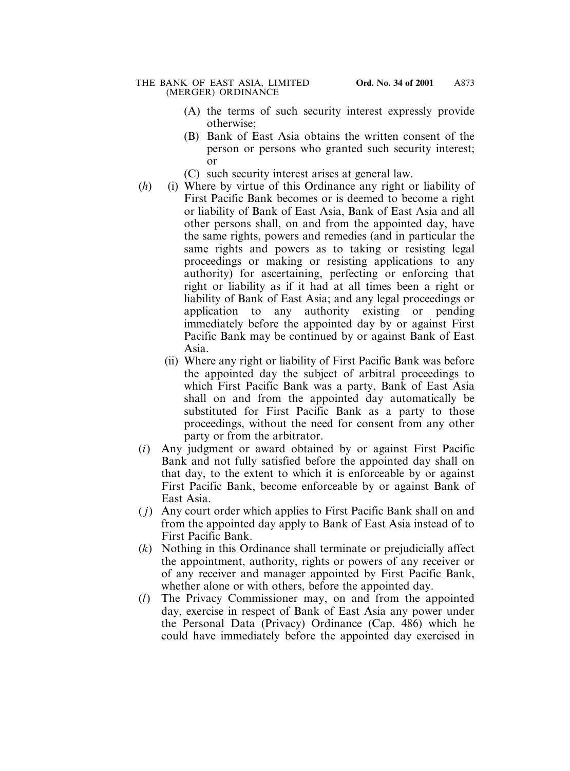- (A) the terms of such security interest expressly provide otherwise;
- (B) Bank of East Asia obtains the written consent of the person or persons who granted such security interest; or
- (C) such security interest arises at general law.
- (*h*) (i) Where by virtue of this Ordinance any right or liability of First Pacific Bank becomes or is deemed to become a right or liability of Bank of East Asia, Bank of East Asia and all other persons shall, on and from the appointed day, have the same rights, powers and remedies (and in particular the same rights and powers as to taking or resisting legal proceedings or making or resisting applications to any authority) for ascertaining, perfecting or enforcing that right or liability as if it had at all times been a right or liability of Bank of East Asia; and any legal proceedings or application to any authority existing or pending immediately before the appointed day by or against First Pacific Bank may be continued by or against Bank of East Asia.
	- (ii) Where any right or liability of First Pacific Bank was before the appointed day the subject of arbitral proceedings to which First Pacific Bank was a party, Bank of East Asia shall on and from the appointed day automatically be substituted for First Pacific Bank as a party to those proceedings, without the need for consent from any other party or from the arbitrator.
- (*i*) Any judgment or award obtained by or against First Pacific Bank and not fully satisfied before the appointed day shall on that day, to the extent to which it is enforceable by or against First Pacific Bank, become enforceable by or against Bank of East Asia.
- ( *j*) Any court order which applies to First Pacific Bank shall on and from the appointed day apply to Bank of East Asia instead of to First Pacific Bank.
- (*k*) Nothing in this Ordinance shall terminate or prejudicially affect the appointment, authority, rights or powers of any receiver or of any receiver and manager appointed by First Pacific Bank, whether alone or with others, before the appointed day.
- (*l*) The Privacy Commissioner may, on and from the appointed day, exercise in respect of Bank of East Asia any power under the Personal Data (Privacy) Ordinance (Cap. 486) which he could have immediately before the appointed day exercised in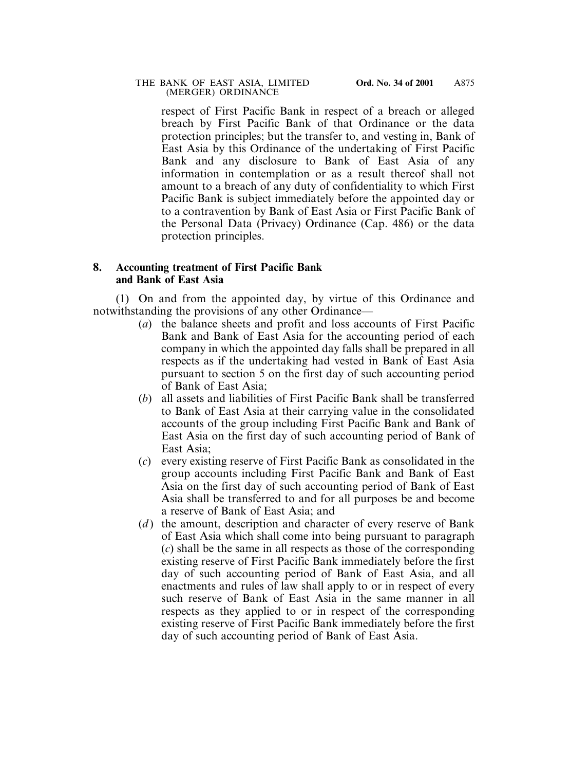#### THE BANK OF EAST ASIA, LIMITED **Ord. No. 34 of 2001** (MERGER) ORDINANCE

respect of First Pacific Bank in respect of a breach or alleged breach by First Pacific Bank of that Ordinance or the data protection principles; but the transfer to, and vesting in, Bank of East Asia by this Ordinance of the undertaking of First Pacific Bank and any disclosure to Bank of East Asia of any information in contemplation or as a result thereof shall not amount to a breach of any duty of confidentiality to which First Pacific Bank is subject immediately before the appointed day or to a contravention by Bank of East Asia or First Pacific Bank of the Personal Data (Privacy) Ordinance (Cap. 486) or the data protection principles.

## **8. Accounting treatment of First Pacific Bank and Bank of East Asia**

(1) On and from the appointed day, by virtue of this Ordinance and notwithstanding the provisions of any other Ordinance—

- (*a*) the balance sheets and profit and loss accounts of First Pacific Bank and Bank of East Asia for the accounting period of each company in which the appointed day falls shall be prepared in all respects as if the undertaking had vested in Bank of East Asia pursuant to section 5 on the first day of such accounting period of Bank of East Asia;
- (*b*) all assets and liabilities of First Pacific Bank shall be transferred to Bank of East Asia at their carrying value in the consolidated accounts of the group including First Pacific Bank and Bank of East Asia on the first day of such accounting period of Bank of East Asia;
- (*c*) every existing reserve of First Pacific Bank as consolidated in the group accounts including First Pacific Bank and Bank of East Asia on the first day of such accounting period of Bank of East Asia shall be transferred to and for all purposes be and become a reserve of Bank of East Asia; and
- (*d*) the amount, description and character of every reserve of Bank of East Asia which shall come into being pursuant to paragraph (*c*) shall be the same in all respects as those of the corresponding existing reserve of First Pacific Bank immediately before the first day of such accounting period of Bank of East Asia, and all enactments and rules of law shall apply to or in respect of every such reserve of Bank of East Asia in the same manner in all respects as they applied to or in respect of the corresponding existing reserve of First Pacific Bank immediately before the first day of such accounting period of Bank of East Asia.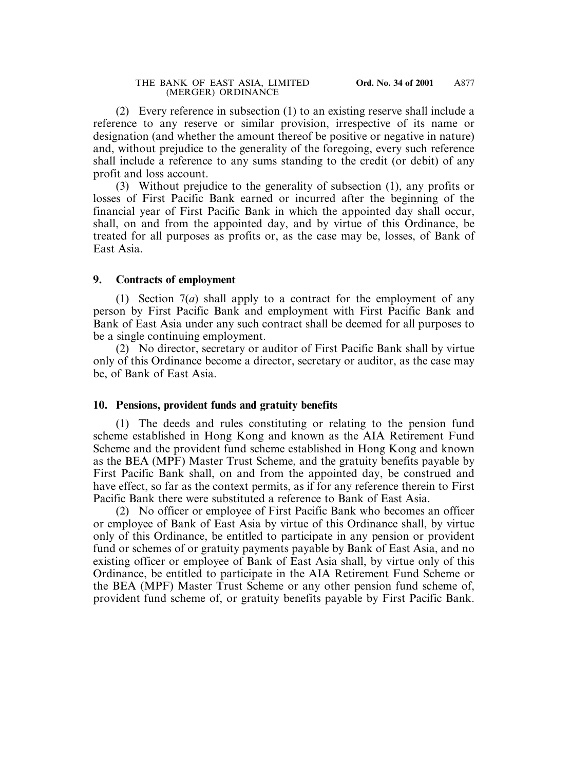(2) Every reference in subsection (1) to an existing reserve shall include a reference to any reserve or similar provision, irrespective of its name or designation (and whether the amount thereof be positive or negative in nature) and, without prejudice to the generality of the foregoing, every such reference shall include a reference to any sums standing to the credit (or debit) of any profit and loss account.

(3) Without prejudice to the generality of subsection (1), any profits or losses of First Pacific Bank earned or incurred after the beginning of the financial year of First Pacific Bank in which the appointed day shall occur, shall, on and from the appointed day, and by virtue of this Ordinance, be treated for all purposes as profits or, as the case may be, losses, of Bank of East Asia.

### **9. Contracts of employment**

(1) Section 7(*a*) shall apply to a contract for the employment of any person by First Pacific Bank and employment with First Pacific Bank and Bank of East Asia under any such contract shall be deemed for all purposes to be a single continuing employment.

(2) No director, secretary or auditor of First Pacific Bank shall by virtue only of this Ordinance become a director, secretary or auditor, as the case may be, of Bank of East Asia.

### **10. Pensions, provident funds and gratuity benefits**

(1) The deeds and rules constituting or relating to the pension fund scheme established in Hong Kong and known as the AIA Retirement Fund Scheme and the provident fund scheme established in Hong Kong and known as the BEA (MPF) Master Trust Scheme, and the gratuity benefits payable by First Pacific Bank shall, on and from the appointed day, be construed and have effect, so far as the context permits, as if for any reference therein to First Pacific Bank there were substituted a reference to Bank of East Asia.

(2) No officer or employee of First Pacific Bank who becomes an officer or employee of Bank of East Asia by virtue of this Ordinance shall, by virtue only of this Ordinance, be entitled to participate in any pension or provident fund or schemes of or gratuity payments payable by Bank of East Asia, and no existing officer or employee of Bank of East Asia shall, by virtue only of this Ordinance, be entitled to participate in the AIA Retirement Fund Scheme or the BEA (MPF) Master Trust Scheme or any other pension fund scheme of, provident fund scheme of, or gratuity benefits payable by First Pacific Bank.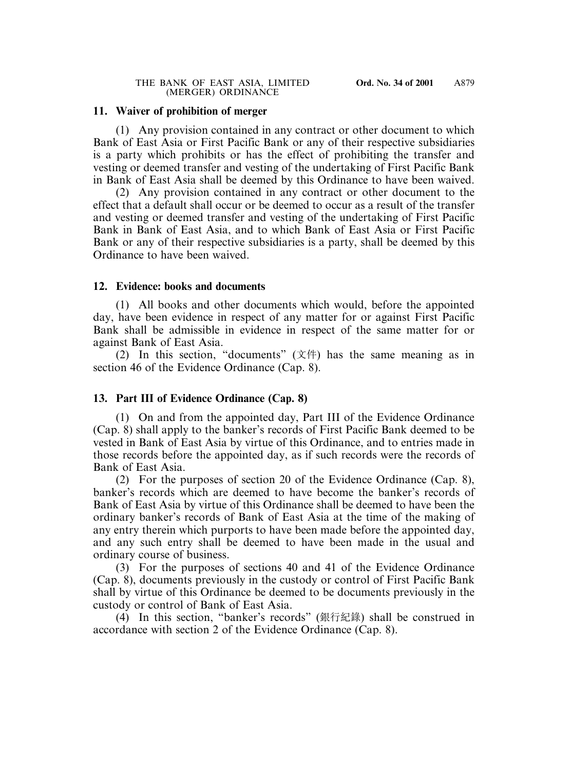### **11. Waiver of prohibition of merger**

(1) Any provision contained in any contract or other document to which Bank of East Asia or First Pacific Bank or any of their respective subsidiaries is a party which prohibits or has the effect of prohibiting the transfer and vesting or deemed transfer and vesting of the undertaking of First Pacific Bank in Bank of East Asia shall be deemed by this Ordinance to have been waived.

(2) Any provision contained in any contract or other document to the effect that a default shall occur or be deemed to occur as a result of the transfer and vesting or deemed transfer and vesting of the undertaking of First Pacific Bank in Bank of East Asia, and to which Bank of East Asia or First Pacific Bank or any of their respective subsidiaries is a party, shall be deemed by this Ordinance to have been waived.

### **12. Evidence: books and documents**

(1) All books and other documents which would, before the appointed day, have been evidence in respect of any matter for or against First Pacific Bank shall be admissible in evidence in respect of the same matter for or against Bank of East Asia.

(2) In this section, "documents" (文件) has the same meaning as in section 46 of the Evidence Ordinance (Cap. 8).

## **13. Part III of Evidence Ordinance (Cap. 8)**

(1) On and from the appointed day, Part III of the Evidence Ordinance (Cap. 8) shall apply to the banker's records of First Pacific Bank deemed to be vested in Bank of East Asia by virtue of this Ordinance, and to entries made in those records before the appointed day, as if such records were the records of Bank of East Asia.

(2) For the purposes of section 20 of the Evidence Ordinance (Cap. 8), banker's records which are deemed to have become the banker's records of Bank of East Asia by virtue of this Ordinance shall be deemed to have been the ordinary banker's records of Bank of East Asia at the time of the making of any entry therein which purports to have been made before the appointed day, and any such entry shall be deemed to have been made in the usual and ordinary course of business.

(3) For the purposes of sections 40 and 41 of the Evidence Ordinance (Cap. 8), documents previously in the custody or control of First Pacific Bank shall by virtue of this Ordinance be deemed to be documents previously in the custody or control of Bank of East Asia.

(4) In this section, "banker's records" (銀行紀錄) shall be construed in accordance with section 2 of the Evidence Ordinance (Cap. 8).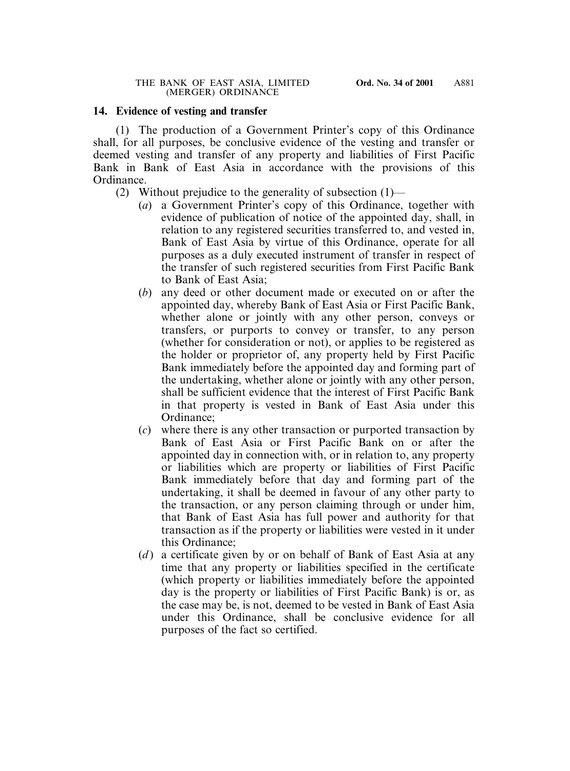### **14. Evidence of vesting and transfer**

(1) The production of a Government Printer's copy of this Ordinance shall, for all purposes, be conclusive evidence of the vesting and transfer or deemed vesting and transfer of any property and liabilities of First Pacific Bank in Bank of East Asia in accordance with the provisions of this Ordinance.

- (2) Without prejudice to the generality of subsection (1)—
	- (*a*) a Government Printer's copy of this Ordinance, together with evidence of publication of notice of the appointed day, shall, in relation to any registered securities transferred to, and vested in, Bank of East Asia by virtue of this Ordinance, operate for all purposes as a duly executed instrument of transfer in respect of the transfer of such registered securities from First Pacific Bank to Bank of East Asia;
	- (*b*) any deed or other document made or executed on or after the appointed day, whereby Bank of East Asia or First Pacific Bank, whether alone or jointly with any other person, conveys or transfers, or purports to convey or transfer, to any person (whether for consideration or not), or applies to be registered as the holder or proprietor of, any property held by First Pacific Bank immediately before the appointed day and forming part of the undertaking, whether alone or jointly with any other person, shall be sufficient evidence that the interest of First Pacific Bank in that property is vested in Bank of East Asia under this Ordinance;
	- (*c*) where there is any other transaction or purported transaction by Bank of East Asia or First Pacific Bank on or after the appointed day in connection with, or in relation to, any property or liabilities which are property or liabilities of First Pacific Bank immediately before that day and forming part of the undertaking, it shall be deemed in favour of any other party to the transaction, or any person claiming through or under him, that Bank of East Asia has full power and authority for that transaction as if the property or liabilities were vested in it under this Ordinance;
	- (*d*) a certificate given by or on behalf of Bank of East Asia at any time that any property or liabilities specified in the certificate (which property or liabilities immediately before the appointed day is the property or liabilities of First Pacific Bank) is or, as the case may be, is not, deemed to be vested in Bank of East Asia under this Ordinance, shall be conclusive evidence for all purposes of the fact so certified.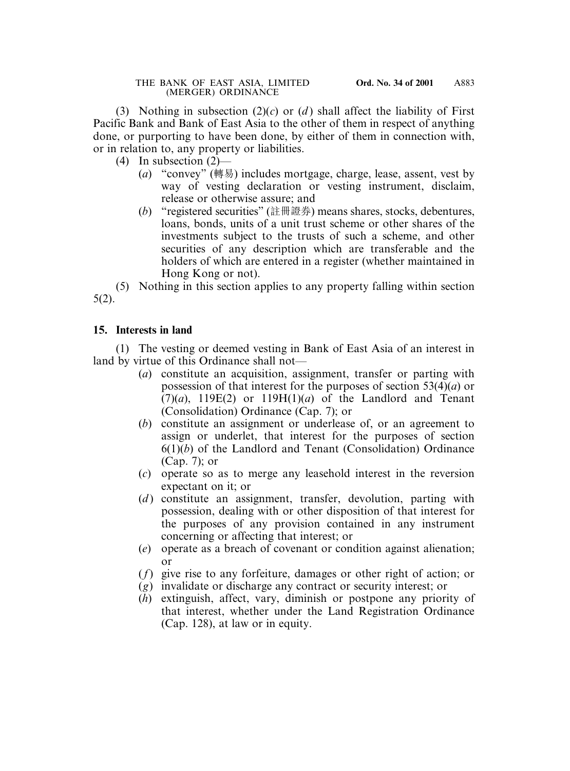(3) Nothing in subsection  $(2)(c)$  or  $(d)$  shall affect the liability of First Pacific Bank and Bank of East Asia to the other of them in respect of anything done, or purporting to have been done, by either of them in connection with, or in relation to, any property or liabilities.

- (4) In subsection (2)—
	- (*a*) "convey" (轉易) includes mortgage, charge, lease, assent, vest by way of vesting declaration or vesting instrument, disclaim, release or otherwise assure; and
	- (*b*) "registered securities" (註冊證券) means shares, stocks, debentures, loans, bonds, units of a unit trust scheme or other shares of the investments subject to the trusts of such a scheme, and other securities of any description which are transferable and the holders of which are entered in a register (whether maintained in Hong Kong or not).

(5) Nothing in this section applies to any property falling within section 5(2).

## **15. Interests in land**

(1) The vesting or deemed vesting in Bank of East Asia of an interest in land by virtue of this Ordinance shall not—

- (*a*) constitute an acquisition, assignment, transfer or parting with possession of that interest for the purposes of section 53(4)(*a*) or  $(7)(a)$ , 119E(2) or 119H(1)(*a*) of the Landlord and Tenant (Consolidation) Ordinance (Cap. 7); or
- (*b*) constitute an assignment or underlease of, or an agreement to assign or underlet, that interest for the purposes of section 6(1)(*b*) of the Landlord and Tenant (Consolidation) Ordinance (Cap. 7); or
- (*c*) operate so as to merge any leasehold interest in the reversion expectant on it; or
- (*d*) constitute an assignment, transfer, devolution, parting with possession, dealing with or other disposition of that interest for the purposes of any provision contained in any instrument concerning or affecting that interest; or
- (*e*) operate as a breach of covenant or condition against alienation; or
- (*f*) give rise to any forfeiture, damages or other right of action; or
- (*g*) invalidate or discharge any contract or security interest; or
- (*h*) extinguish, affect, vary, diminish or postpone any priority of that interest, whether under the Land Registration Ordinance (Cap. 128), at law or in equity.